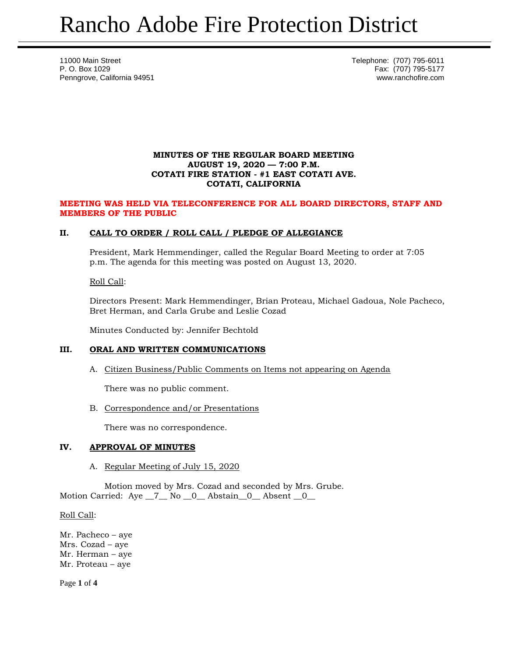11000 Main Street Telephone: (707) 795-6011 P. O. Box 1029 Fax: (707) 795-5177 Penngrove, California 94951 www.ranchofire.com

## **MINUTES OF THE REGULAR BOARD MEETING AUGUST 19, 2020 — 7:00 P.M. COTATI FIRE STATION - #1 EAST COTATI AVE. COTATI, CALIFORNIA**

#### **MEETING WAS HELD VIA TELECONFERENCE FOR ALL BOARD DIRECTORS, STAFF AND MEMBERS OF THE PUBLIC**

# **II. CALL TO ORDER / ROLL CALL / PLEDGE OF ALLEGIANCE**

President, Mark Hemmendinger, called the Regular Board Meeting to order at 7:05 p.m. The agenda for this meeting was posted on August 13, 2020.

#### Roll Call:

Directors Present: Mark Hemmendinger, Brian Proteau, Michael Gadoua, Nole Pacheco, Bret Herman, and Carla Grube and Leslie Cozad

Minutes Conducted by: Jennifer Bechtold

# **III. ORAL AND WRITTEN COMMUNICATIONS**

A. Citizen Business/Public Comments on Items not appearing on Agenda

There was no public comment.

B. Correspondence and/or Presentations

There was no correspondence.

# **IV. APPROVAL OF MINUTES**

A. Regular Meeting of July 15, 2020

Motion moved by Mrs. Cozad and seconded by Mrs. Grube. Motion Carried: Aye \_7\_ No \_0\_ Abstain \_0\_ Absent \_0\_

Roll Call:

Mr. Pacheco – aye Mrs. Cozad – aye Mr. Herman – aye Mr. Proteau – aye

Page **1** of **4**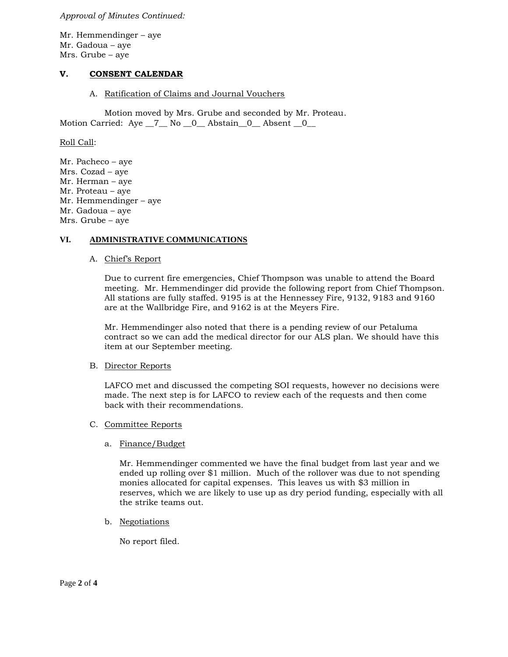*Approval of Minutes Continued:*

Mr. Hemmendinger – aye Mr. Gadoua – aye Mrs. Grube – aye

# **V. CONSENT CALENDAR**

A. Ratification of Claims and Journal Vouchers

Motion moved by Mrs. Grube and seconded by Mr. Proteau. Motion Carried: Aye \_7\_ No \_0\_ Abstain\_0\_ Absent \_0\_

Roll Call:

Mr. Pacheco – aye Mrs. Cozad – aye Mr. Herman – aye Mr. Proteau – aye Mr. Hemmendinger – aye Mr. Gadoua – aye Mrs. Grube – aye

## **VI. ADMINISTRATIVE COMMUNICATIONS**

#### A. Chief's Report

Due to current fire emergencies, Chief Thompson was unable to attend the Board meeting. Mr. Hemmendinger did provide the following report from Chief Thompson. All stations are fully staffed. 9195 is at the Hennessey Fire, 9132, 9183 and 9160 are at the Wallbridge Fire, and 9162 is at the Meyers Fire.

Mr. Hemmendinger also noted that there is a pending review of our Petaluma contract so we can add the medical director for our ALS plan. We should have this item at our September meeting.

#### B. Director Reports

LAFCO met and discussed the competing SOI requests, however no decisions were made. The next step is for LAFCO to review each of the requests and then come back with their recommendations.

## C. Committee Reports

#### a. Finance/Budget

Mr. Hemmendinger commented we have the final budget from last year and we ended up rolling over \$1 million. Much of the rollover was due to not spending monies allocated for capital expenses. This leaves us with \$3 million in reserves, which we are likely to use up as dry period funding, especially with all the strike teams out.

b. Negotiations

No report filed.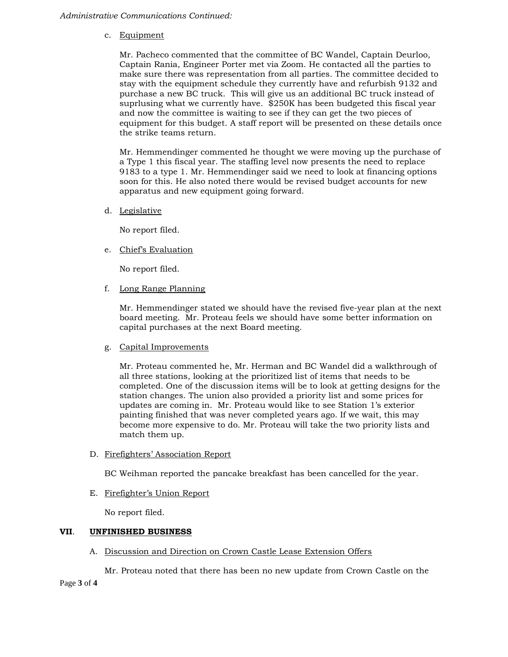c. Equipment

Mr. Pacheco commented that the committee of BC Wandel, Captain Deurloo, Captain Rania, Engineer Porter met via Zoom. He contacted all the parties to make sure there was representation from all parties. The committee decided to stay with the equipment schedule they currently have and refurbish 9132 and purchase a new BC truck. This will give us an additional BC truck instead of suprlusing what we currently have. \$250K has been budgeted this fiscal year and now the committee is waiting to see if they can get the two pieces of equipment for this budget. A staff report will be presented on these details once the strike teams return.

Mr. Hemmendinger commented he thought we were moving up the purchase of a Type 1 this fiscal year. The staffing level now presents the need to replace 9183 to a type 1. Mr. Hemmendinger said we need to look at financing options soon for this. He also noted there would be revised budget accounts for new apparatus and new equipment going forward.

d. Legislative

No report filed.

e. Chief's Evaluation

No report filed.

f. Long Range Planning

Mr. Hemmendinger stated we should have the revised five-year plan at the next board meeting. Mr. Proteau feels we should have some better information on capital purchases at the next Board meeting.

g. Capital Improvements

Mr. Proteau commented he, Mr. Herman and BC Wandel did a walkthrough of all three stations, looking at the prioritized list of items that needs to be completed. One of the discussion items will be to look at getting designs for the station changes. The union also provided a priority list and some prices for updates are coming in. Mr. Proteau would like to see Station 1's exterior painting finished that was never completed years ago. If we wait, this may become more expensive to do. Mr. Proteau will take the two priority lists and match them up.

D. Firefighters' Association Report

BC Weihman reported the pancake breakfast has been cancelled for the year.

E. Firefighter's Union Report

No report filed.

# **VII**. **UNFINISHED BUSINESS**

A. Discussion and Direction on Crown Castle Lease Extension Offers

Mr. Proteau noted that there has been no new update from Crown Castle on the

Page **3** of **4**